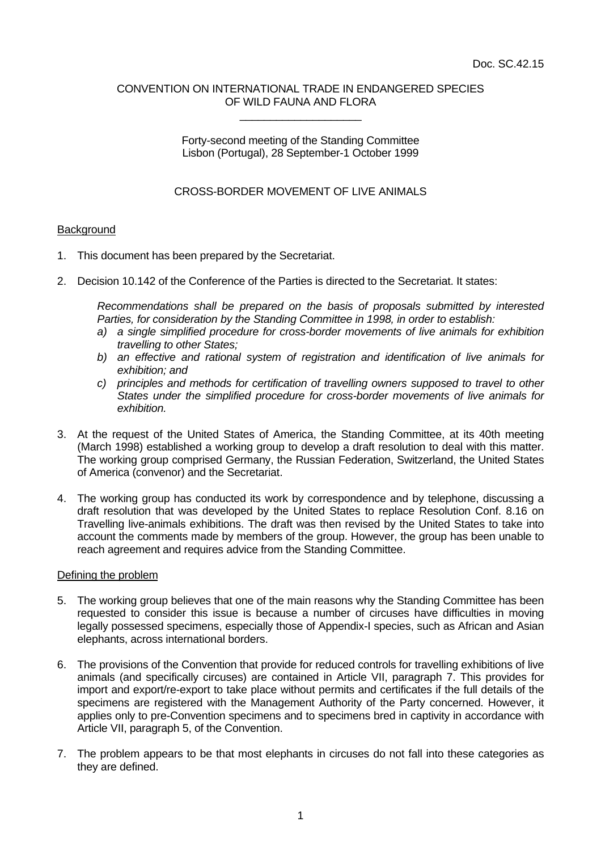#### CONVENTION ON INTERNATIONAL TRADE IN ENDANGERED SPECIES OF WILD FAUNA AND FLORA \_\_\_\_\_\_\_\_\_\_\_\_\_\_\_\_\_\_\_\_

Forty-second meeting of the Standing Committee Lisbon (Portugal), 28 September-1 October 1999

## CROSS-BORDER MOVEMENT OF LIVE ANIMALS

### **Background**

- 1. This document has been prepared by the Secretariat.
- 2. Decision 10.142 of the Conference of the Parties is directed to the Secretariat. It states:

*Recommendations shall be prepared on the basis of proposals submitted by interested Parties, for consideration by the Standing Committee in 1998, in order to establish:*

- *a) a single simplified procedure for cross-border movements of live animals for exhibition travelling to other States;*
- *b) an effective and rational system of registration and identification of live animals for exhibition; and*
- *c) principles and methods for certification of travelling owners supposed to travel to other States under the simplified procedure for cross-border movements of live animals for exhibition.*
- 3. At the request of the United States of America, the Standing Committee, at its 40th meeting (March 1998) established a working group to develop a draft resolution to deal with this matter. The working group comprised Germany, the Russian Federation, Switzerland, the United States of America (convenor) and the Secretariat.
- 4. The working group has conducted its work by correspondence and by telephone, discussing a draft resolution that was developed by the United States to replace Resolution Conf. 8.16 on Travelling live-animals exhibitions. The draft was then revised by the United States to take into account the comments made by members of the group. However, the group has been unable to reach agreement and requires advice from the Standing Committee.

#### Defining the problem

- 5. The working group believes that one of the main reasons why the Standing Committee has been requested to consider this issue is because a number of circuses have difficulties in moving legally possessed specimens, especially those of Appendix-I species, such as African and Asian elephants, across international borders.
- 6. The provisions of the Convention that provide for reduced controls for travelling exhibitions of live animals (and specifically circuses) are contained in Article VII, paragraph 7. This provides for import and export/re-export to take place without permits and certificates if the full details of the specimens are registered with the Management Authority of the Party concerned. However, it applies only to pre-Convention specimens and to specimens bred in captivity in accordance with Article VII, paragraph 5, of the Convention.
- 7. The problem appears to be that most elephants in circuses do not fall into these categories as they are defined.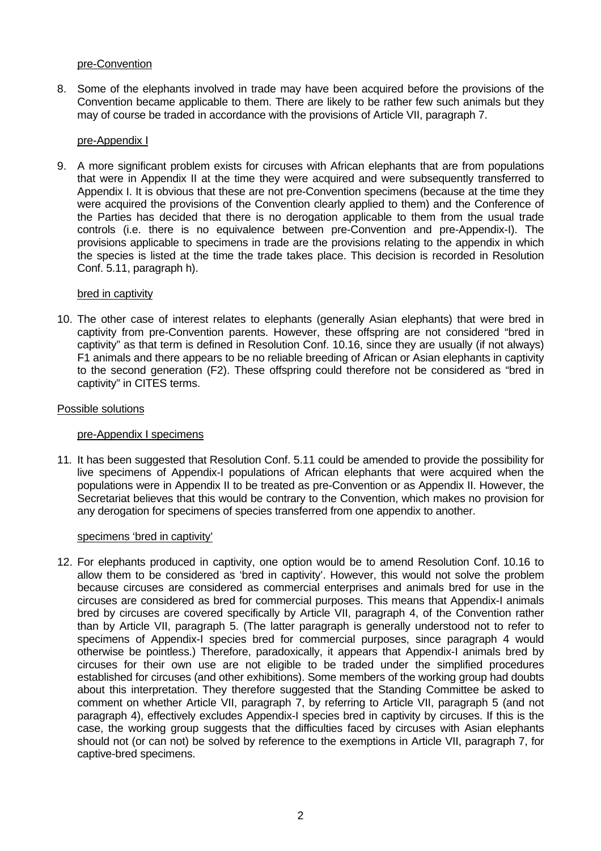### pre-Convention

8. Some of the elephants involved in trade may have been acquired before the provisions of the Convention became applicable to them. There are likely to be rather few such animals but they may of course be traded in accordance with the provisions of Article VII, paragraph 7.

## pre-Appendix I

9. A more significant problem exists for circuses with African elephants that are from populations that were in Appendix II at the time they were acquired and were subsequently transferred to Appendix I. It is obvious that these are not pre-Convention specimens (because at the time they were acquired the provisions of the Convention clearly applied to them) and the Conference of the Parties has decided that there is no derogation applicable to them from the usual trade controls (i.e. there is no equivalence between pre-Convention and pre-Appendix-I). The provisions applicable to specimens in trade are the provisions relating to the appendix in which the species is listed at the time the trade takes place. This decision is recorded in Resolution Conf. 5.11, paragraph h).

### bred in captivity

10. The other case of interest relates to elephants (generally Asian elephants) that were bred in captivity from pre-Convention parents. However, these offspring are not considered "bred in captivity" as that term is defined in Resolution Conf. 10.16, since they are usually (if not always) F1 animals and there appears to be no reliable breeding of African or Asian elephants in captivity to the second generation (F2). These offspring could therefore not be considered as "bred in captivity" in CITES terms.

### Possible solutions

# pre-Appendix I specimens

11. It has been suggested that Resolution Conf. 5.11 could be amended to provide the possibility for live specimens of Appendix-I populations of African elephants that were acquired when the populations were in Appendix II to be treated as pre-Convention or as Appendix II. However, the Secretariat believes that this would be contrary to the Convention, which makes no provision for any derogation for specimens of species transferred from one appendix to another.

#### specimens 'bred in captivity'

12. For elephants produced in captivity, one option would be to amend Resolution Conf. 10.16 to allow them to be considered as 'bred in captivity'. However, this would not solve the problem because circuses are considered as commercial enterprises and animals bred for use in the circuses are considered as bred for commercial purposes. This means that Appendix-I animals bred by circuses are covered specifically by Article VII, paragraph 4, of the Convention rather than by Article VII, paragraph 5. (The latter paragraph is generally understood not to refer to specimens of Appendix-I species bred for commercial purposes, since paragraph 4 would otherwise be pointless.) Therefore, paradoxically, it appears that Appendix-I animals bred by circuses for their own use are not eligible to be traded under the simplified procedures established for circuses (and other exhibitions). Some members of the working group had doubts about this interpretation. They therefore suggested that the Standing Committee be asked to comment on whether Article VII, paragraph 7, by referring to Article VII, paragraph 5 (and not paragraph 4), effectively excludes Appendix-I species bred in captivity by circuses. If this is the case, the working group suggests that the difficulties faced by circuses with Asian elephants should not (or can not) be solved by reference to the exemptions in Article VII, paragraph 7, for captive-bred specimens.